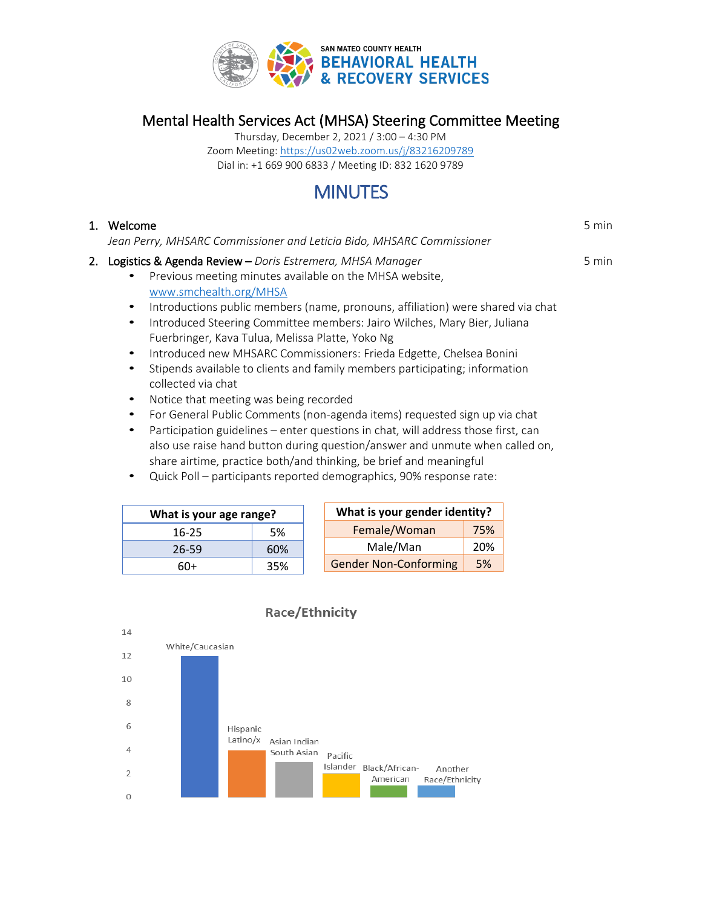

Mental Health Services Act (MHSA) Steering Committee Meeting

Thursday, December 2, 2021 / 3:00 – 4:30 PM Zoom Meeting: <https://us02web.zoom.us/j/83216209789> Dial in: +1 669 900 6833 / Meeting ID: 832 1620 9789

# **MINUTES**

## 1. Welcome

*Jean Perry, MHSARC Commissioner and Leticia Bido, MHSARC Commissioner*

- 2. Logistics & Agenda Review *Doris Estremera, MHSA Manager*
	- Previous meeting minutes available on the MHSA website, [www.smchealth.org/MHSA](http://www.smchealth.org/MHSA)
	- Introductions public members (name, pronouns, affiliation) were shared via chat
	- Introduced Steering Committee members: Jairo Wilches, Mary Bier, Juliana Fuerbringer, Kava Tulua, Melissa Platte, Yoko Ng
	- Introduced new MHSARC Commissioners: Frieda Edgette, Chelsea Bonini
	- Stipends available to clients and family members participating; information collected via chat
	- Notice that meeting was being recorded
	- For General Public Comments (non-agenda items) requested sign up via chat
	- Participation guidelines enter questions in chat, will address those first, can also use raise hand button during question/answer and unmute when called on, share airtime, practice both/and thinking, be brief and meaningful
	- Quick Poll participants reported demographics, 90% response rate:

| What is your age range? |     |  |
|-------------------------|-----|--|
| $16 - 25$               | .5% |  |
| 26-59                   | 60% |  |
| 6በ+                     | 35% |  |

| What is your gender identity? |     |  |
|-------------------------------|-----|--|
| Female/Woman                  | 75% |  |
| Male/Man                      | 20% |  |
| <b>Gender Non-Conforming</b>  | 5%  |  |



## **Race/Ethnicity**

5 min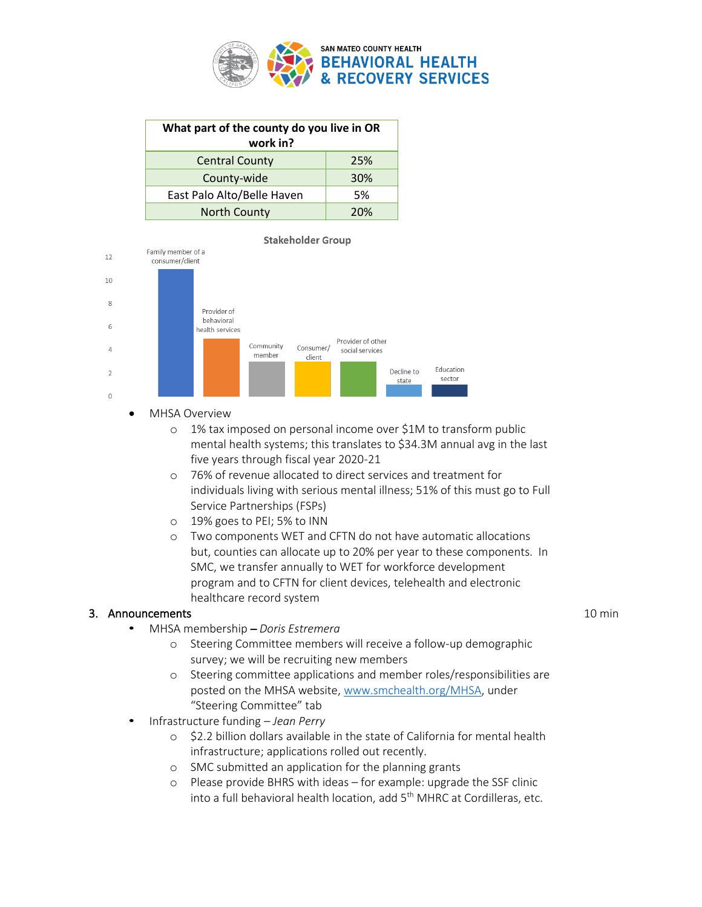

| What part of the county do you live in OR<br>work in? |     |  |
|-------------------------------------------------------|-----|--|
| <b>Central County</b>                                 | 25% |  |
| County-wide                                           | 30% |  |
| East Palo Alto/Belle Haven                            | .5% |  |
| <b>North County</b>                                   | 20% |  |



- MHSA Overview
	- o 1% tax imposed on personal income over \$1M to transform public mental health systems; this translates to \$34.3M annual avg in the last five years through fiscal year 2020-21
	- o 76% of revenue allocated to direct services and treatment for individuals living with serious mental illness; 51% of this must go to Full Service Partnerships (FSPs)
	- o 19% goes to PEI; 5% to INN
	- o Two components WET and CFTN do not have automatic allocations but, counties can allocate up to 20% per year to these components. In SMC, we transfer annually to WET for workforce development program and to CFTN for client devices, telehealth and electronic healthcare record system

#### 3. Announcements

- MHSA membership *– Doris Estremera*
	- o Steering Committee members will receive a follow-up demographic survey; we will be recruiting new members
	- o Steering committee applications and member roles/responsibilities are posted on the MHSA website, [www.smchealth.org/MHSA,](http://www.smchealth.org/MHSA) under "Steering Committee" tab
- Infrastructure funding *– Jean Perry*
	- o \$2.2 billion dollars available in the state of California for mental health infrastructure; applications rolled out recently.
	- o SMC submitted an application for the planning grants
	- o Please provide BHRS with ideas for example: upgrade the SSF clinic into a full behavioral health location, add 5<sup>th</sup> MHRC at Cordilleras, etc.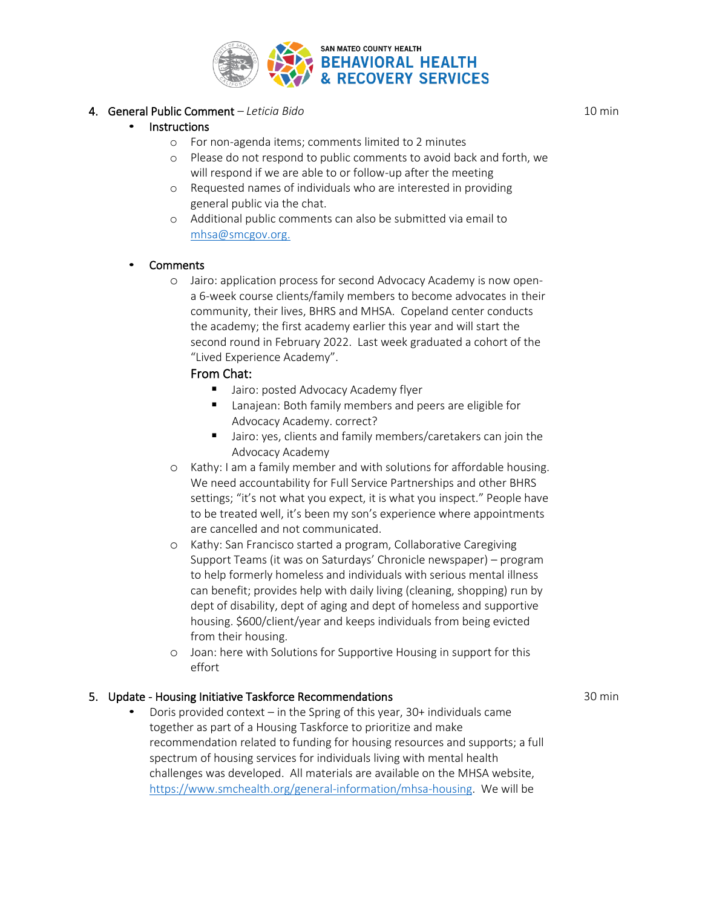

#### 4. General Public Comment *– Leticia Bido*

#### **Instructions**

- o For non-agenda items; comments limited to 2 minutes
- o Please do not respond to public comments to avoid back and forth, we will respond if we are able to or follow-up after the meeting
- o Requested names of individuals who are interested in providing general public via the chat.
- o Additional public comments can also be submitted via email to [mhsa@smcgov.org.](mailto:mhsa@smcgov.org)

#### **Comments**

o Jairo: application process for second Advocacy Academy is now opena 6-week course clients/family members to become advocates in their community, their lives, BHRS and MHSA. Copeland center conducts the academy; the first academy earlier this year and will start the second round in February 2022. Last week graduated a cohort of the "Lived Experience Academy".

#### From Chat:

- Jairo: posted Advocacy Academy flyer
- Lanajean: Both family members and peers are eligible for Advocacy Academy. correct?
- Jairo: yes, clients and family members/caretakers can join the Advocacy Academy
- o Kathy: I am a family member and with solutions for affordable housing. We need accountability for Full Service Partnerships and other BHRS settings; "it's not what you expect, it is what you inspect." People have to be treated well, it's been my son's experience where appointments are cancelled and not communicated.
- o Kathy: San Francisco started a program, Collaborative Caregiving Support Teams (it was on Saturdays' Chronicle newspaper) – program to help formerly homeless and individuals with serious mental illness can benefit; provides help with daily living (cleaning, shopping) run by dept of disability, dept of aging and dept of homeless and supportive housing. \$600/client/year and keeps individuals from being evicted from their housing.
- o Joan: here with Solutions for Supportive Housing in support for this effort

#### 5. Update - Housing Initiative Taskforce Recommendations

Doris provided context – in the Spring of this year,  $30+$  individuals came together as part of a Housing Taskforce to prioritize and make recommendation related to funding for housing resources and supports; a full spectrum of housing services for individuals living with mental health challenges was developed. All materials are available on the MHSA website, [https://www.smchealth.org/general-information/mhsa-housing.](https://www.smchealth.org/general-information/mhsa-housing) We will be

10 min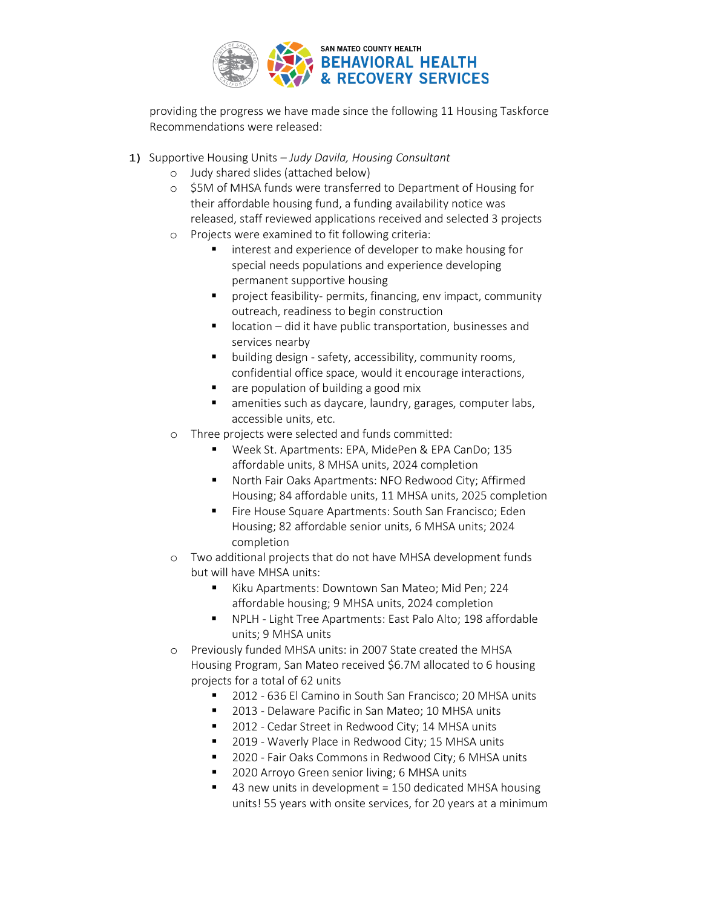

providing the progress we have made since the following 11 Housing Taskforce Recommendations were released:

- 1) Supportive Housing Units *– Judy Davila, Housing Consultant*
	- o Judy shared slides (attached below)
	- o \$5M of MHSA funds were transferred to Department of Housing for their affordable housing fund, a funding availability notice was released, staff reviewed applications received and selected 3 projects
	- o Projects were examined to fit following criteria:
		- interest and experience of developer to make housing for special needs populations and experience developing permanent supportive housing
		- project feasibility- permits, financing, env impact, community outreach, readiness to begin construction
		- location did it have public transportation, businesses and services nearby
		- building design safety, accessibility, community rooms, confidential office space, would it encourage interactions,
		- are population of building a good mix
		- amenities such as daycare, laundry, garages, computer labs, accessible units, etc.
	- o Three projects were selected and funds committed:
		- Week St. Apartments: EPA, MidePen & EPA CanDo; 135 affordable units, 8 MHSA units, 2024 completion
		- North Fair Oaks Apartments: NFO Redwood City; Affirmed Housing; 84 affordable units, 11 MHSA units, 2025 completion
		- Fire House Square Apartments: South San Francisco; Eden Housing; 82 affordable senior units, 6 MHSA units; 2024 completion
	- o Two additional projects that do not have MHSA development funds but will have MHSA units:
		- Kiku Apartments: Downtown San Mateo; Mid Pen; 224 affordable housing; 9 MHSA units, 2024 completion
		- NPLH Light Tree Apartments: East Palo Alto; 198 affordable units; 9 MHSA units
	- o Previously funded MHSA units: in 2007 State created the MHSA Housing Program, San Mateo received \$6.7M allocated to 6 housing projects for a total of 62 units
		- 2012 636 El Camino in South San Francisco; 20 MHSA units
		- 2013 Delaware Pacific in San Mateo; 10 MHSA units
		- 2012 Cedar Street in Redwood City; 14 MHSA units
		- 2019 Waverly Place in Redwood City; 15 MHSA units
		- 2020 Fair Oaks Commons in Redwood City; 6 MHSA units
		- 2020 Arroyo Green senior living; 6 MHSA units
		- 43 new units in development = 150 dedicated MHSA housing units! 55 years with onsite services, for 20 years at a minimum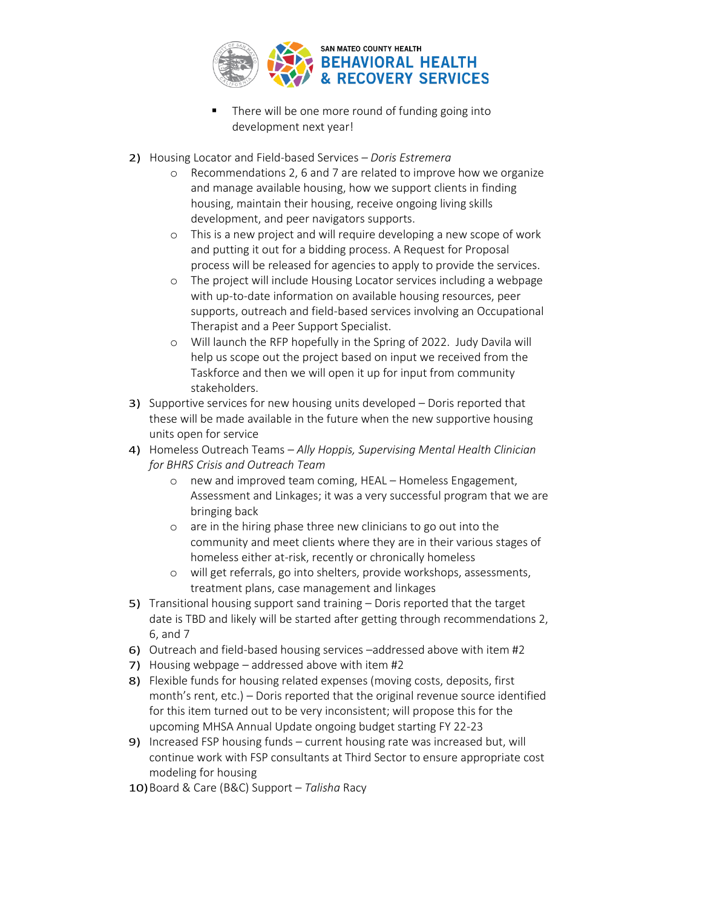

- There will be one more round of funding going into development next year!
- 2) Housing Locator and Field-based Services *– Doris Estremera*
	- o Recommendations 2, 6 and 7 are related to improve how we organize and manage available housing, how we support clients in finding housing, maintain their housing, receive ongoing living skills development, and peer navigators supports.
	- o This is a new project and will require developing a new scope of work and putting it out for a bidding process. A Request for Proposal process will be released for agencies to apply to provide the services.
	- o The project will include Housing Locator services including a webpage with up-to-date information on available housing resources, peer supports, outreach and field-based services involving an Occupational Therapist and a Peer Support Specialist.
	- o Will launch the RFP hopefully in the Spring of 2022. Judy Davila will help us scope out the project based on input we received from the Taskforce and then we will open it up for input from community stakeholders.
- 3) Supportive services for new housing units developed Doris reported that these will be made available in the future when the new supportive housing units open for service
- 4) Homeless Outreach Teams *– Ally Hoppis, Supervising Mental Health Clinician for BHRS Crisis and Outreach Team*
	- o new and improved team coming, HEAL Homeless Engagement, Assessment and Linkages; it was a very successful program that we are bringing back
	- o are in the hiring phase three new clinicians to go out into the community and meet clients where they are in their various stages of homeless either at-risk, recently or chronically homeless
	- o will get referrals, go into shelters, provide workshops, assessments, treatment plans, case management and linkages
- 5) Transitional housing support sand training Doris reported that the target date is TBD and likely will be started after getting through recommendations 2, 6, and 7
- 6) Outreach and field-based housing services –addressed above with item #2
- 7) Housing webpage addressed above with item #2
- 8) Flexible funds for housing related expenses (moving costs, deposits, first month's rent, etc.) – Doris reported that the original revenue source identified for this item turned out to be very inconsistent; will propose this for the upcoming MHSA Annual Update ongoing budget starting FY 22-23
- 9) Increased FSP housing funds current housing rate was increased but, will continue work with FSP consultants at Third Sector to ensure appropriate cost modeling for housing
- 10)Board & Care (B&C) Support *Talisha* Racy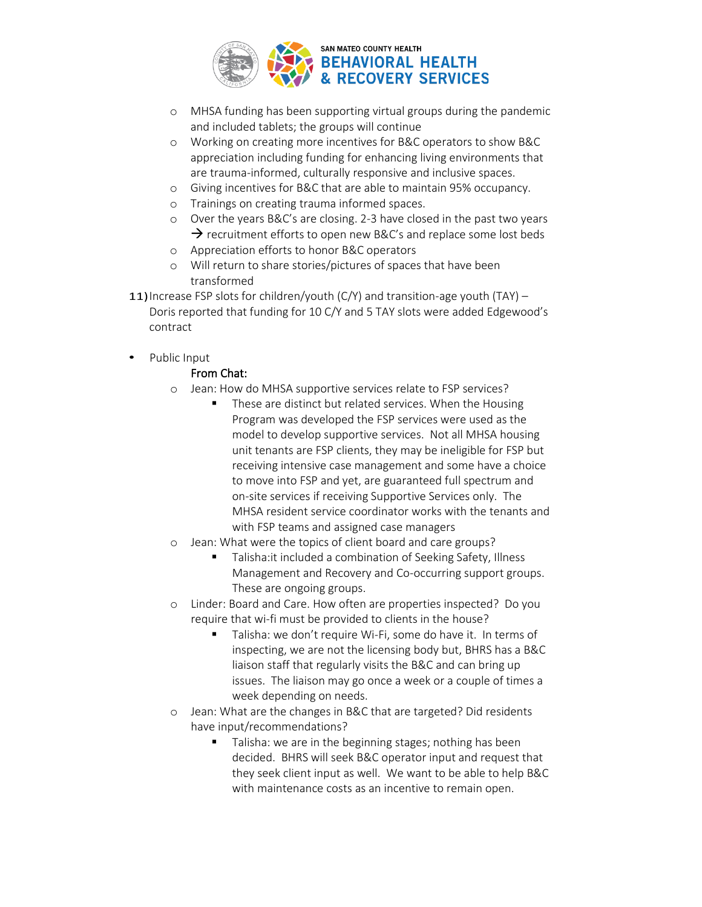

- o MHSA funding has been supporting virtual groups during the pandemic and included tablets; the groups will continue
- o Working on creating more incentives for B&C operators to show B&C appreciation including funding for enhancing living environments that are trauma-informed, culturally responsive and inclusive spaces.
- o Giving incentives for B&C that are able to maintain 95% occupancy.
- o Trainings on creating trauma informed spaces.
- o Over the years B&C's are closing. 2-3 have closed in the past two years  $\rightarrow$  recruitment efforts to open new B&C's and replace some lost beds
- o Appreciation efforts to honor B&C operators
- o Will return to share stories/pictures of spaces that have been transformed
- 11) Increase FSP slots for children/youth (C/Y) and transition-age youth (TAY)  $-$ Doris reported that funding for 10 C/Y and 5 TAY slots were added Edgewood's contract
- Public Input

#### From Chat:

- o Jean: How do MHSA supportive services relate to FSP services?
	- These are distinct but related services. When the Housing Program was developed the FSP services were used as the model to develop supportive services. Not all MHSA housing unit tenants are FSP clients, they may be ineligible for FSP but receiving intensive case management and some have a choice to move into FSP and yet, are guaranteed full spectrum and on-site services if receiving Supportive Services only. The MHSA resident service coordinator works with the tenants and with FSP teams and assigned case managers
- o Jean: What were the topics of client board and care groups?
	- Talisha: it included a combination of Seeking Safety, Illness Management and Recovery and Co-occurring support groups. These are ongoing groups.
- o Linder: Board and Care. How often are properties inspected? Do you require that wi-fi must be provided to clients in the house?
	- Talisha: we don't require Wi-Fi, some do have it. In terms of inspecting, we are not the licensing body but, BHRS has a B&C liaison staff that regularly visits the B&C and can bring up issues. The liaison may go once a week or a couple of times a week depending on needs.
- o Jean: What are the changes in B&C that are targeted? Did residents have input/recommendations?
	- Talisha: we are in the beginning stages; nothing has been decided. BHRS will seek B&C operator input and request that they seek client input as well. We want to be able to help B&C with maintenance costs as an incentive to remain open.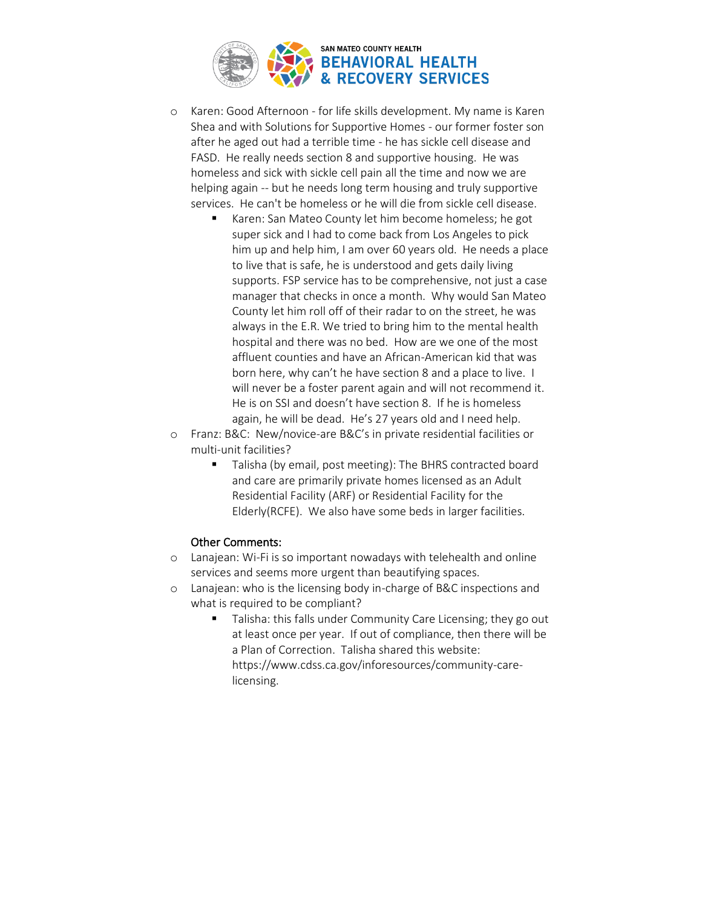

- o Karen: Good Afternoon for life skills development. My name is Karen Shea and with Solutions for Supportive Homes - our former foster son after he aged out had a terrible time - he has sickle cell disease and FASD. He really needs section 8 and supportive housing. He was homeless and sick with sickle cell pain all the time and now we are helping again -- but he needs long term housing and truly supportive services. He can't be homeless or he will die from sickle cell disease.
	- Karen: San Mateo County let him become homeless; he got super sick and I had to come back from Los Angeles to pick him up and help him, I am over 60 years old. He needs a place to live that is safe, he is understood and gets daily living supports. FSP service has to be comprehensive, not just a case manager that checks in once a month. Why would San Mateo County let him roll off of their radar to on the street, he was always in the E.R. We tried to bring him to the mental health hospital and there was no bed. How are we one of the most affluent counties and have an African-American kid that was born here, why can't he have section 8 and a place to live. I will never be a foster parent again and will not recommend it. He is on SSI and doesn't have section 8. If he is homeless again, he will be dead. He's 27 years old and I need help.
- o Franz: B&C: New/novice-are B&C's in private residential facilities or multi-unit facilities?
	- Talisha (by email, post meeting): The BHRS contracted board and care are primarily private homes licensed as an Adult Residential Facility (ARF) or Residential Facility for the Elderly(RCFE). We also have some beds in larger facilities.

#### Other Comments:

- o Lanajean: Wi-Fi is so important nowadays with telehealth and online services and seems more urgent than beautifying spaces.
- o Lanajean: who is the licensing body in-charge of B&C inspections and what is required to be compliant?
	- Talisha: this falls under Community Care Licensing; they go out at least once per year. If out of compliance, then there will be a Plan of Correction. Talisha shared this website: https://www.cdss.ca.gov/inforesources/community-carelicensing.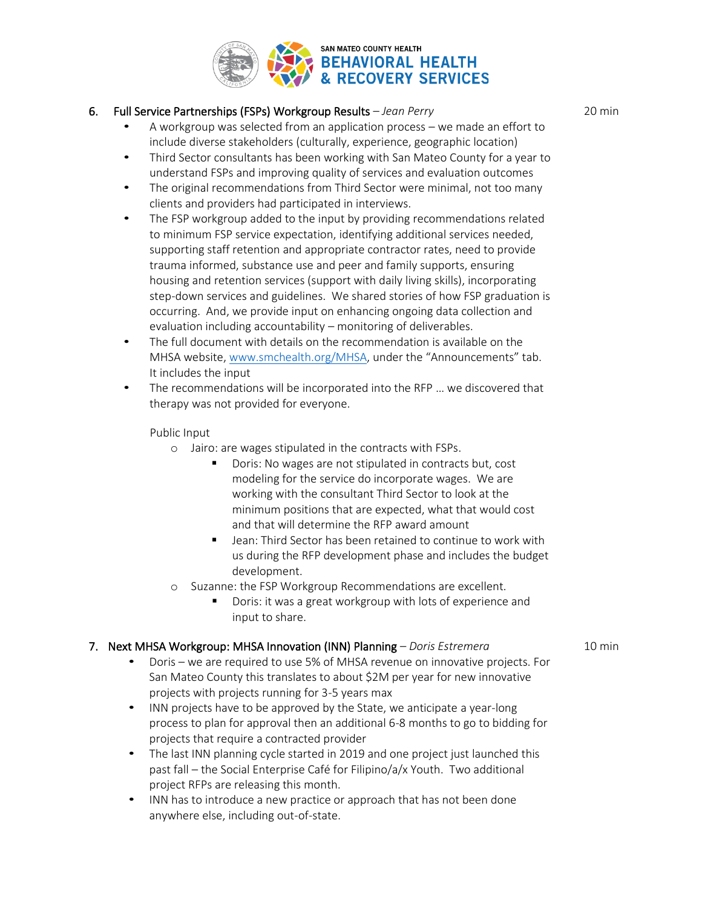

#### 6. Full Service Partnerships (FSPs) Workgroup Results *– Jean Perry*

- A workgroup was selected from an application process we made an effort to include diverse stakeholders (culturally, experience, geographic location)
- Third Sector consultants has been working with San Mateo County for a year to understand FSPs and improving quality of services and evaluation outcomes
- The original recommendations from Third Sector were minimal, not too many clients and providers had participated in interviews.
- The FSP workgroup added to the input by providing recommendations related to minimum FSP service expectation, identifying additional services needed, supporting staff retention and appropriate contractor rates, need to provide trauma informed, substance use and peer and family supports, ensuring housing and retention services (support with daily living skills), incorporating step-down services and guidelines. We shared stories of how FSP graduation is occurring. And, we provide input on enhancing ongoing data collection and evaluation including accountability – monitoring of deliverables.
- The full document with details on the recommendation is available on the MHSA website, [www.smchealth.org/MHSA,](http://www.smchealth.org/MHSA) under the "Announcements" tab. It includes the input
- The recommendations will be incorporated into the RFP … we discovered that therapy was not provided for everyone.

Public Input

- o Jairo: are wages stipulated in the contracts with FSPs.
	- Doris: No wages are not stipulated in contracts but, cost modeling for the service do incorporate wages. We are working with the consultant Third Sector to look at the minimum positions that are expected, what that would cost and that will determine the RFP award amount
	- Jean: Third Sector has been retained to continue to work with us during the RFP development phase and includes the budget development.
- o Suzanne: the FSP Workgroup Recommendations are excellent.
	- Doris: it was a great workgroup with lots of experience and input to share.

#### 7. Next MHSA Workgroup: MHSA Innovation (INN) Planning *– Doris Estremera*

- Doris we are required to use 5% of MHSA revenue on innovative projects. For San Mateo County this translates to about \$2M per year for new innovative projects with projects running for 3-5 years max
- INN projects have to be approved by the State, we anticipate a year-long process to plan for approval then an additional 6-8 months to go to bidding for projects that require a contracted provider
- The last INN planning cycle started in 2019 and one project just launched this past fall – the Social Enterprise Café for Filipino/a/x Youth. Two additional project RFPs are releasing this month.
- INN has to introduce a new practice or approach that has not been done anywhere else, including out-of-state.

20 min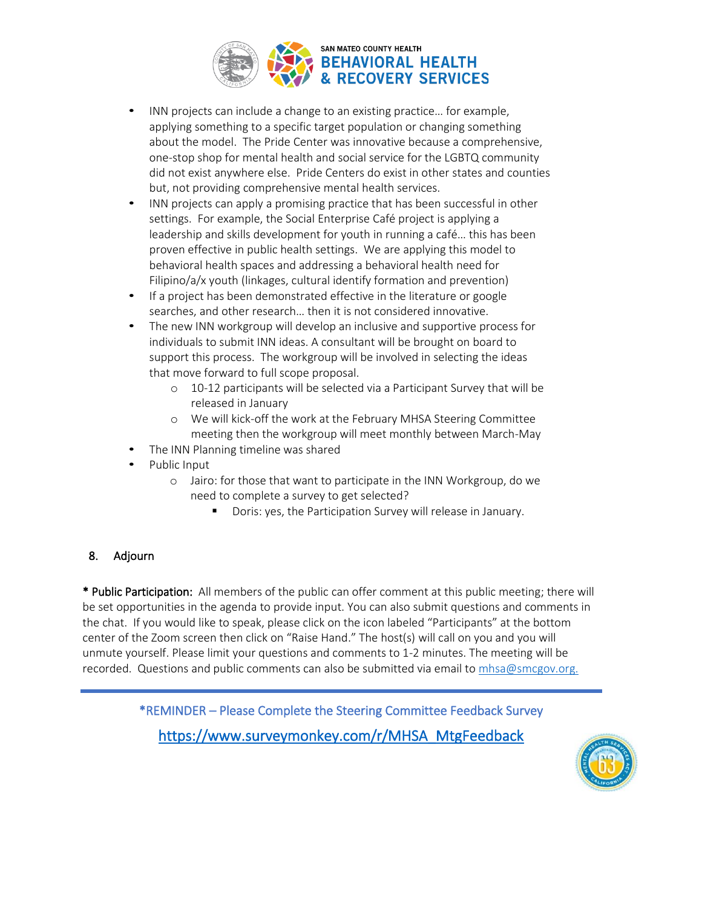

- INN projects can include a change to an existing practice… for example, applying something to a specific target population or changing something about the model. The Pride Center was innovative because a comprehensive, one-stop shop for mental health and social service for the LGBTQ community did not exist anywhere else. Pride Centers do exist in other states and counties but, not providing comprehensive mental health services.
- INN projects can apply a promising practice that has been successful in other settings. For example, the Social Enterprise Café project is applying a leadership and skills development for youth in running a café… this has been proven effective in public health settings. We are applying this model to behavioral health spaces and addressing a behavioral health need for Filipino/a/x youth (linkages, cultural identify formation and prevention)
- If a project has been demonstrated effective in the literature or google searches, and other research… then it is not considered innovative.
- The new INN workgroup will develop an inclusive and supportive process for individuals to submit INN ideas. A consultant will be brought on board to support this process. The workgroup will be involved in selecting the ideas that move forward to full scope proposal.
	- o 10-12 participants will be selected via a Participant Survey that will be released in January
	- o We will kick-off the work at the February MHSA Steering Committee meeting then the workgroup will meet monthly between March-May
- The INN Planning timeline was shared
- Public Input
	- o Jairo: for those that want to participate in the INN Workgroup, do we need to complete a survey to get selected?
		- Doris: yes, the Participation Survey will release in January.

## 8. Adjourn

\* Public Participation: All members of the public can offer comment at this public meeting; there will be set opportunities in the agenda to provide input. You can also submit questions and comments in the chat. If you would like to speak, please click on the icon labeled "Participants" at the bottom center of the Zoom screen then click on "Raise Hand." The host(s) will call on you and you will unmute yourself. Please limit your questions and comments to 1-2 minutes. The meeting will be recorded. Questions and public comments can also be submitted via email to [mhsa@smcgov.org.](mailto:mhsa@smcgov.org)

> \*REMINDER – Please Complete the Steering Committee Feedback Survey [https://www.surveymonkey.com/r/MHSA\\_MtgFeedback](https://www.surveymonkey.com/r/MHSA_MtgFeedback)